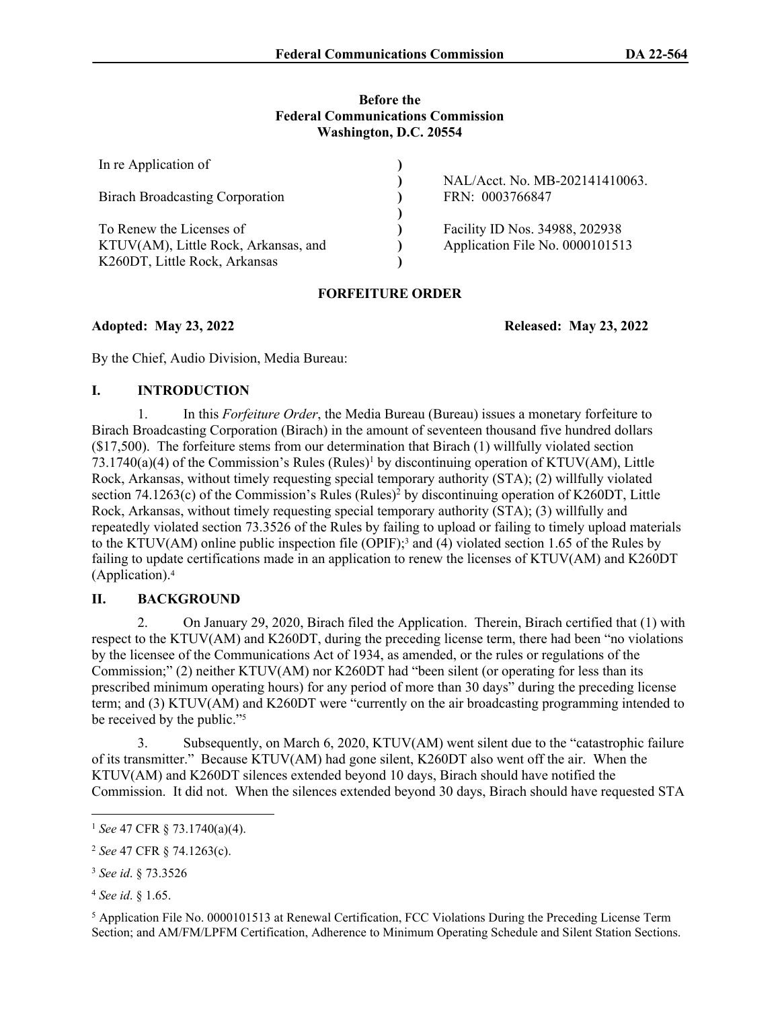#### **Before the Federal Communications Commission Washington, D.C. 20554**

| In re Application of                   |                                                   |
|----------------------------------------|---------------------------------------------------|
| <b>Birach Broadcasting Corporation</b> | NAL/Acct. No. MB-202141410063.<br>FRN: 0003766847 |
|                                        |                                                   |
| To Renew the Licenses of               | Facility ID Nos. 34988, 202938                    |
| KTUV(AM), Little Rock, Arkansas, and   | Application File No. 0000101513                   |
| K260DT, Little Rock, Arkansas          |                                                   |

# **FORFEITURE ORDER**

**Adopted: May 23, 2022 Released: May 23, 2022**

By the Chief, Audio Division, Media Bureau:

# **I. INTRODUCTION**

1. In this *Forfeiture Order*, the Media Bureau (Bureau) issues a monetary forfeiture to Birach Broadcasting Corporation (Birach) in the amount of seventeen thousand five hundred dollars (\$17,500). The forfeiture stems from our determination that Birach (1) willfully violated section 73.1740(a)(4) of the Commission's Rules (Rules)<sup>1</sup> by discontinuing operation of KTUV(AM), Little Rock, Arkansas, without timely requesting special temporary authority (STA); (2) willfully violated section 74.1263(c) of the Commission's Rules (Rules)<sup>2</sup> by discontinuing operation of K260DT, Little Rock, Arkansas, without timely requesting special temporary authority (STA); (3) willfully and repeatedly violated section 73.3526 of the Rules by failing to upload or failing to timely upload materials to the KTUV(AM) online public inspection file (OPIF);<sup>3</sup> and (4) violated section 1.65 of the Rules by failing to update certifications made in an application to renew the licenses of KTUV(AM) and K260DT (Application).<sup>4</sup>

# **II. BACKGROUND**

2. On January 29, 2020, Birach filed the Application. Therein, Birach certified that (1) with respect to the KTUV(AM) and K260DT, during the preceding license term, there had been "no violations by the licensee of the Communications Act of 1934, as amended, or the rules or regulations of the Commission;" (2) neither KTUV(AM) nor K260DT had "been silent (or operating for less than its prescribed minimum operating hours) for any period of more than 30 days" during the preceding license term; and (3) KTUV(AM) and K260DT were "currently on the air broadcasting programming intended to be received by the public."<sup>5</sup>

3. Subsequently, on March 6, 2020, KTUV(AM) went silent due to the "catastrophic failure of its transmitter." Because KTUV(AM) had gone silent, K260DT also went off the air. When the KTUV(AM) and K260DT silences extended beyond 10 days, Birach should have notified the Commission. It did not. When the silences extended beyond 30 days, Birach should have requested STA

<sup>4</sup> *See id*. § 1.65.

<sup>5</sup> Application File No. 0000101513 at Renewal Certification, FCC Violations During the Preceding License Term Section; and AM/FM/LPFM Certification, Adherence to Minimum Operating Schedule and Silent Station Sections.

<sup>1</sup> *See* 47 CFR § 73.1740(a)(4).

<sup>2</sup> *See* 47 CFR § 74.1263(c).

<sup>3</sup> *See id*. § 73.3526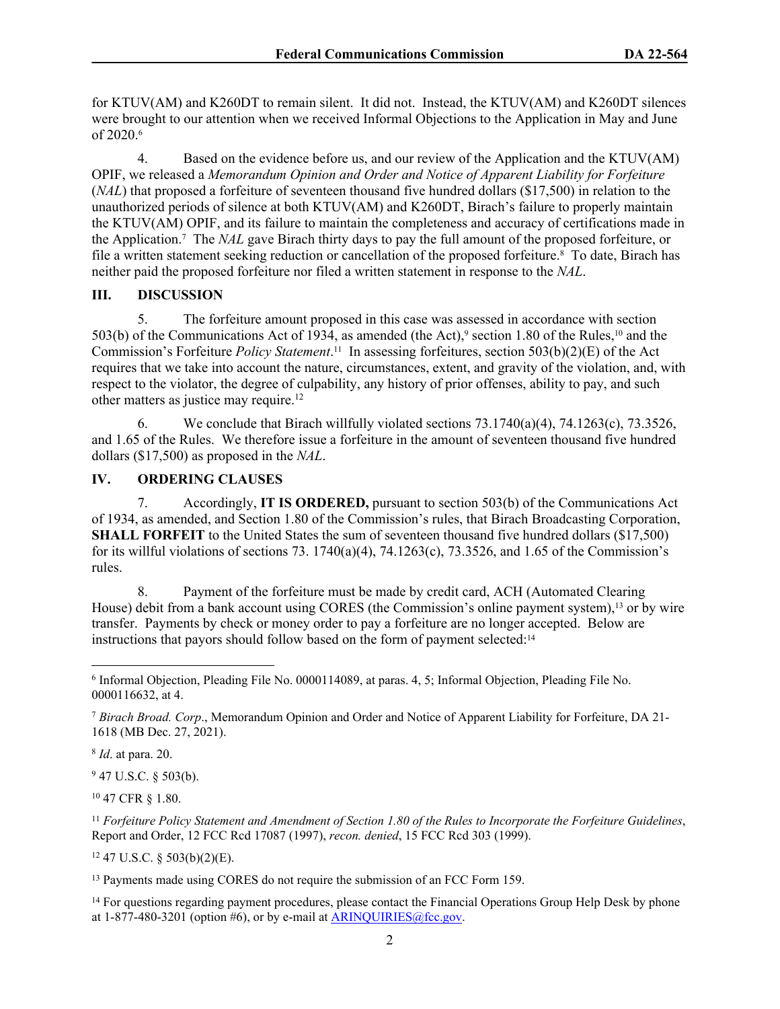for KTUV(AM) and K260DT to remain silent. It did not. Instead, the KTUV(AM) and K260DT silences were brought to our attention when we received Informal Objections to the Application in May and June of 2020.<sup>6</sup>

4. Based on the evidence before us, and our review of the Application and the KTUV(AM) OPIF, we released a *Memorandum Opinion and Order and Notice of Apparent Liability for Forfeiture* (*NAL*) that proposed a forfeiture of seventeen thousand five hundred dollars (\$17,500) in relation to the unauthorized periods of silence at both KTUV(AM) and K260DT, Birach's failure to properly maintain the KTUV(AM) OPIF, and its failure to maintain the completeness and accuracy of certifications made in the Application.<sup>7</sup> The *NAL* gave Birach thirty days to pay the full amount of the proposed forfeiture, or file a written statement seeking reduction or cancellation of the proposed forfeiture.<sup>8</sup> To date, Birach has neither paid the proposed forfeiture nor filed a written statement in response to the *NAL*.

#### **III. DISCUSSION**

5. The forfeiture amount proposed in this case was assessed in accordance with section 503(b) of the Communications Act of 1934, as amended (the Act),<sup>9</sup> section 1.80 of the Rules,<sup>10</sup> and the Commission's Forfeiture *Policy Statement*. <sup>11</sup> In assessing forfeitures, section 503(b)(2)(E) of the Act requires that we take into account the nature, circumstances, extent, and gravity of the violation, and, with respect to the violator, the degree of culpability, any history of prior offenses, ability to pay, and such other matters as justice may require.<sup>12</sup>

6. We conclude that Birach willfully violated sections  $73.1740(a)(4)$ ,  $74.1263(c)$ ,  $73.3526$ , and 1.65 of the Rules. We therefore issue a forfeiture in the amount of seventeen thousand five hundred dollars (\$17,500) as proposed in the *NAL*.

### **IV. ORDERING CLAUSES**

7. Accordingly, **IT IS ORDERED,** pursuant to section 503(b) of the Communications Act of 1934, as amended, and Section 1.80 of the Commission's rules, that Birach Broadcasting Corporation, **SHALL FORFEIT** to the United States the sum of seventeen thousand five hundred dollars (\$17,500) for its willful violations of sections 73. 1740(a)(4), 74.1263(c), 73.3526, and 1.65 of the Commission's rules.

8. Payment of the forfeiture must be made by credit card, ACH (Automated Clearing House) debit from a bank account using CORES (the Commission's online payment system),13 or by wire transfer. Payments by check or money order to pay a forfeiture are no longer accepted. Below are instructions that payors should follow based on the form of payment selected:<sup>14</sup>

8 *Id*. at para. 20.

<sup>9</sup> 47 U.S.C. § 503(b).

<sup>10</sup> 47 CFR § 1.80.

<sup>11</sup> *Forfeiture Policy Statement and Amendment of Section 1.80 of the Rules to Incorporate the Forfeiture Guidelines*, Report and Order, 12 FCC Rcd 17087 (1997), *recon. denied*, 15 FCC Rcd 303 (1999).

 $12$  47 U.S.C. § 503(b)(2)(E).

<sup>13</sup> Payments made using CORES do not require the submission of an FCC Form 159.

<sup>14</sup> For questions regarding payment procedures, please contact the Financial Operations Group Help Desk by phone at  $1-877-480-3201$  (option #6), or by e-mail at [ARINQUIRIES@fcc.gov.](mailto:ARINQUIRIES@fcc.gov)

<sup>6</sup> Informal Objection, Pleading File No. 0000114089, at paras. 4, 5; Informal Objection, Pleading File No. 0000116632, at 4.

<sup>7</sup> *Birach Broad. Corp*., Memorandum Opinion and Order and Notice of Apparent Liability for Forfeiture, DA 21- 1618 (MB Dec. 27, 2021).